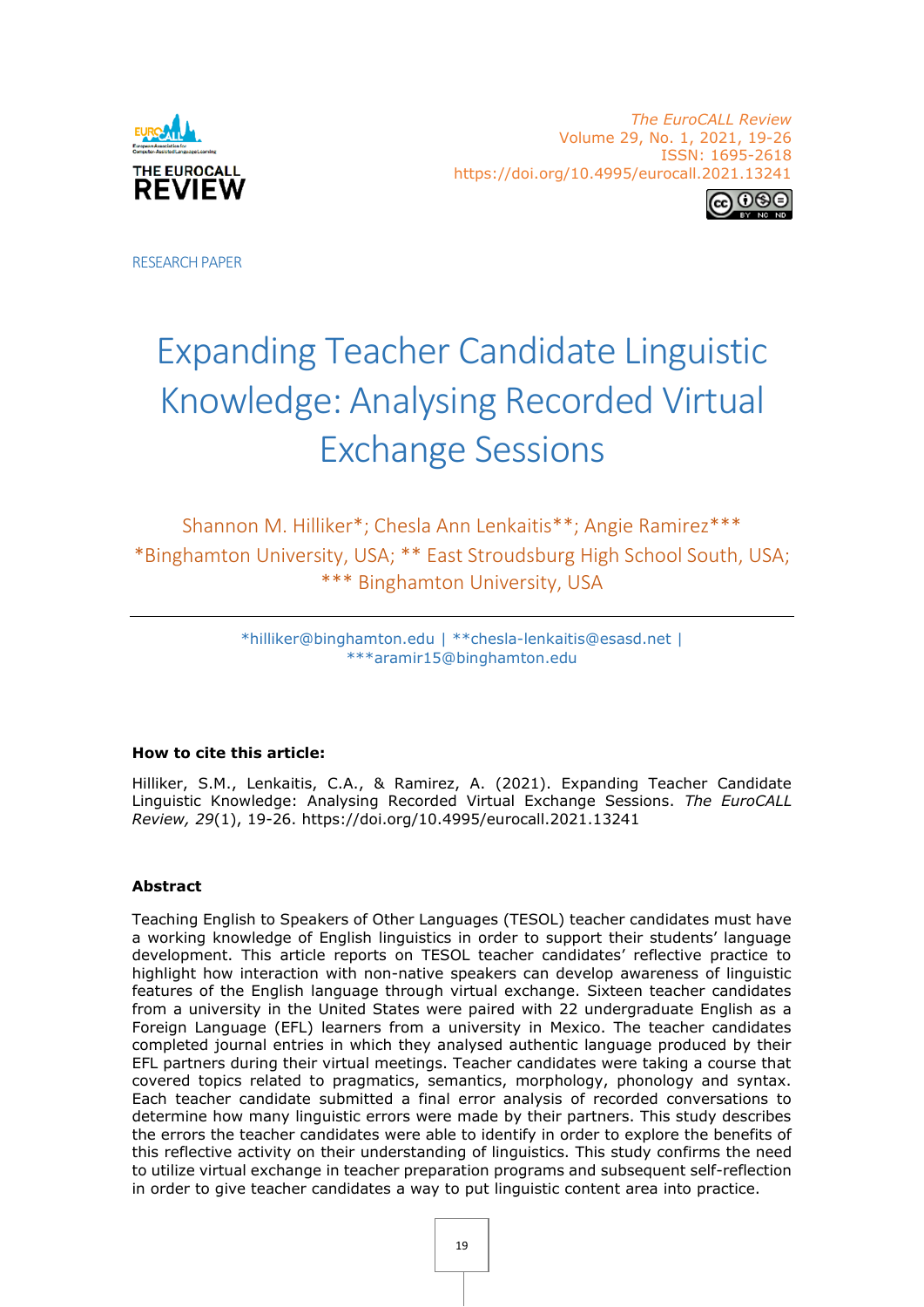



RESEARCH PAPER

# Expanding Teacher Candidate Linguistic Knowledge: Analysing Recorded Virtual Exchange Sessions

Shannon M. Hilliker\*; Chesla Ann Lenkaitis\*\*; Angie Ramirez\*\*\* \*Binghamton University, USA; \*\* East Stroudsburg High School South, USA; \*\*\* Binghamton University, USA

> \*hilliker@binghamton.edu | \*\*chesla-lenkaitis@esasd.net | \*\*\*aramir15@binghamton.edu

# **How to cite this article:**

Hilliker, S.M., Lenkaitis, C.A., & Ramirez, A. (2021). Expanding Teacher Candidate Linguistic Knowledge: Analysing Recorded Virtual Exchange Sessions. *The EuroCALL Review, 29*(1), 19-26. https://doi.org/10.4995/eurocall.2021.13241

# **Abstract**

Teaching English to Speakers of Other Languages (TESOL) teacher candidates must have a working knowledge of English linguistics in order to support their students' language development. This article reports on TESOL teacher candidates' reflective practice to highlight how interaction with non-native speakers can develop awareness of linguistic features of the English language through virtual exchange. Sixteen teacher candidates from a university in the United States were paired with 22 undergraduate English as a Foreign Language (EFL) learners from a university in Mexico. The teacher candidates completed journal entries in which they analysed authentic language produced by their EFL partners during their virtual meetings. Teacher candidates were taking a course that covered topics related to pragmatics, semantics, morphology, phonology and syntax. Each teacher candidate submitted a final error analysis of recorded conversations to determine how many linguistic errors were made by their partners. This study describes the errors the teacher candidates were able to identify in order to explore the benefits of this reflective activity on their understanding of linguistics. This study confirms the need to utilize virtual exchange in teacher preparation programs and subsequent self-reflection in order to give teacher candidates a way to put linguistic content area into practice.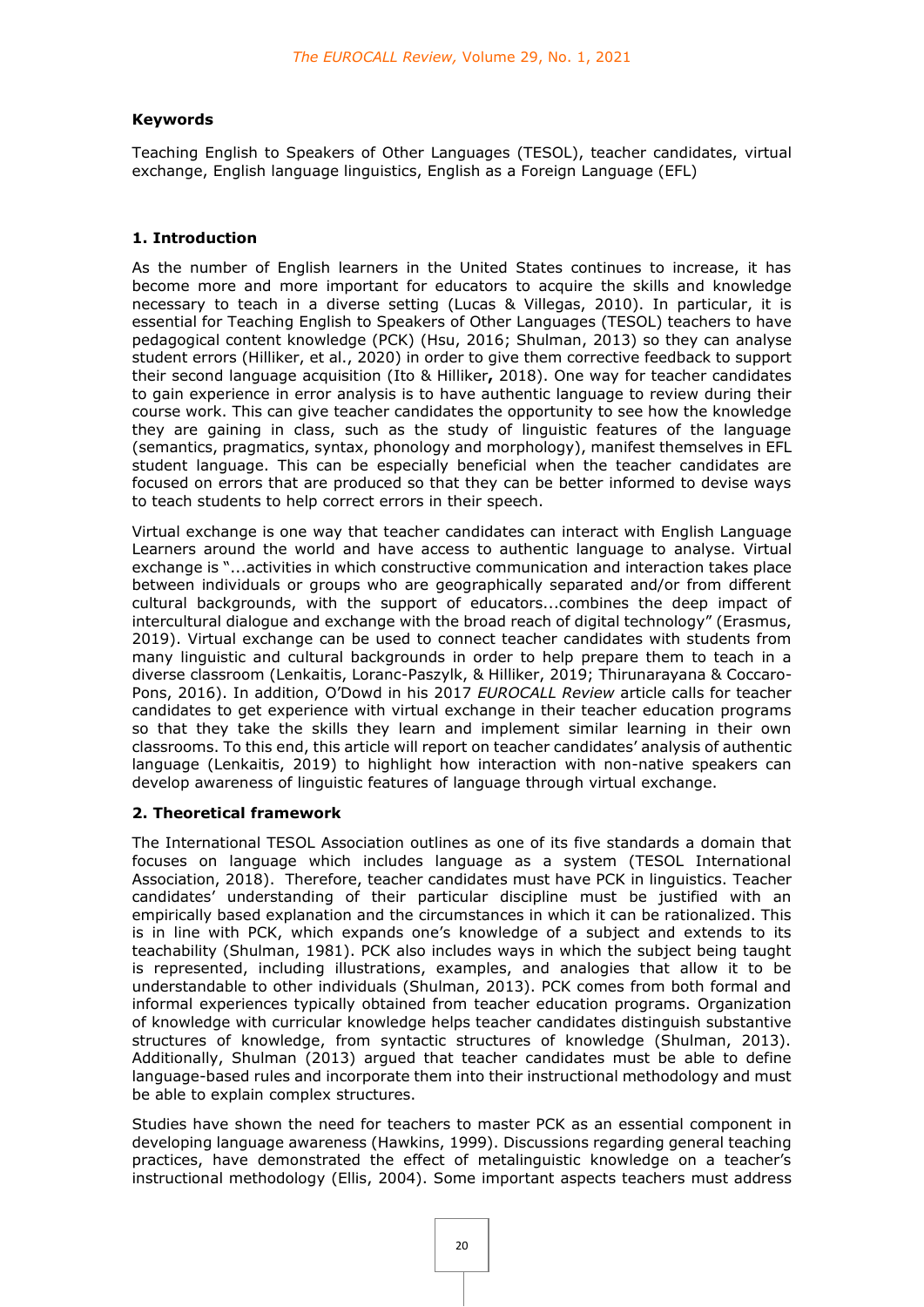# **Keywords**

Teaching English to Speakers of Other Languages (TESOL), teacher candidates, virtual exchange, English language linguistics, English as a Foreign Language (EFL)

# **1. Introduction**

As the number of English learners in the United States continues to increase, it has become more and more important for educators to acquire the skills and knowledge necessary to teach in a diverse setting (Lucas & Villegas, 2010). In particular, it is essential for Teaching English to Speakers of Other Languages (TESOL) teachers to have pedagogical content knowledge (PCK) (Hsu, 2016; Shulman, 2013) so they can analyse student errors (Hilliker, et al., 2020) in order to give them corrective feedback to support their second language acquisition (Ito & Hilliker**,** 2018). One way for teacher candidates to gain experience in error analysis is to have authentic language to review during their course work. This can give teacher candidates the opportunity to see how the knowledge they are gaining in class, such as the study of linguistic features of the language (semantics, pragmatics, syntax, phonology and morphology), manifest themselves in EFL student language. This can be especially beneficial when the teacher candidates are focused on errors that are produced so that they can be better informed to devise ways to teach students to help correct errors in their speech.

Virtual exchange is one way that teacher candidates can interact with English Language Learners around the world and have access to authentic language to analyse. Virtual exchange is "...activities in which constructive communication and interaction takes place between individuals or groups who are geographically separated and/or from different cultural backgrounds, with the support of educators...combines the deep impact of intercultural dialogue and exchange with the broad reach of digital technology" (Erasmus, 2019). Virtual exchange can be used to connect teacher candidates with students from many linguistic and cultural backgrounds in order to help prepare them to teach in a diverse classroom (Lenkaitis, Loranc-Paszylk, & Hilliker, 2019; Thirunarayana & Coccaro-Pons, 2016). In addition, O'Dowd in his 2017 *EUROCALL Review* article calls for teacher candidates to get experience with virtual exchange in their teacher education programs so that they take the skills they learn and implement similar learning in their own classrooms. To this end, this article will report on teacher candidates' analysis of authentic language (Lenkaitis, 2019) to highlight how interaction with non-native speakers can develop awareness of linguistic features of language through virtual exchange.

#### **2. Theoretical framework**

The International TESOL Association outlines as one of its five standards a domain that focuses on language which includes language as a system (TESOL International Association, 2018). Therefore, teacher candidates must have PCK in linguistics. Teacher candidates' understanding of their particular discipline must be justified with an empirically based explanation and the circumstances in which it can be rationalized. This is in line with PCK, which expands one's knowledge of a subject and extends to its teachability (Shulman, 1981). PCK also includes ways in which the subject being taught is represented, including illustrations, examples, and analogies that allow it to be understandable to other individuals (Shulman, 2013). PCK comes from both formal and informal experiences typically obtained from teacher education programs. Organization of knowledge with curricular knowledge helps teacher candidates distinguish substantive structures of knowledge, from syntactic structures of knowledge (Shulman, 2013). Additionally, Shulman (2013) argued that teacher candidates must be able to define language-based rules and incorporate them into their instructional methodology and must be able to explain complex structures.

Studies have shown the need for teachers to master PCK as an essential component in developing language awareness (Hawkins, 1999). Discussions regarding general teaching practices, have demonstrated the effect of metalinguistic knowledge on a teacher's instructional methodology (Ellis, 2004). Some important aspects teachers must address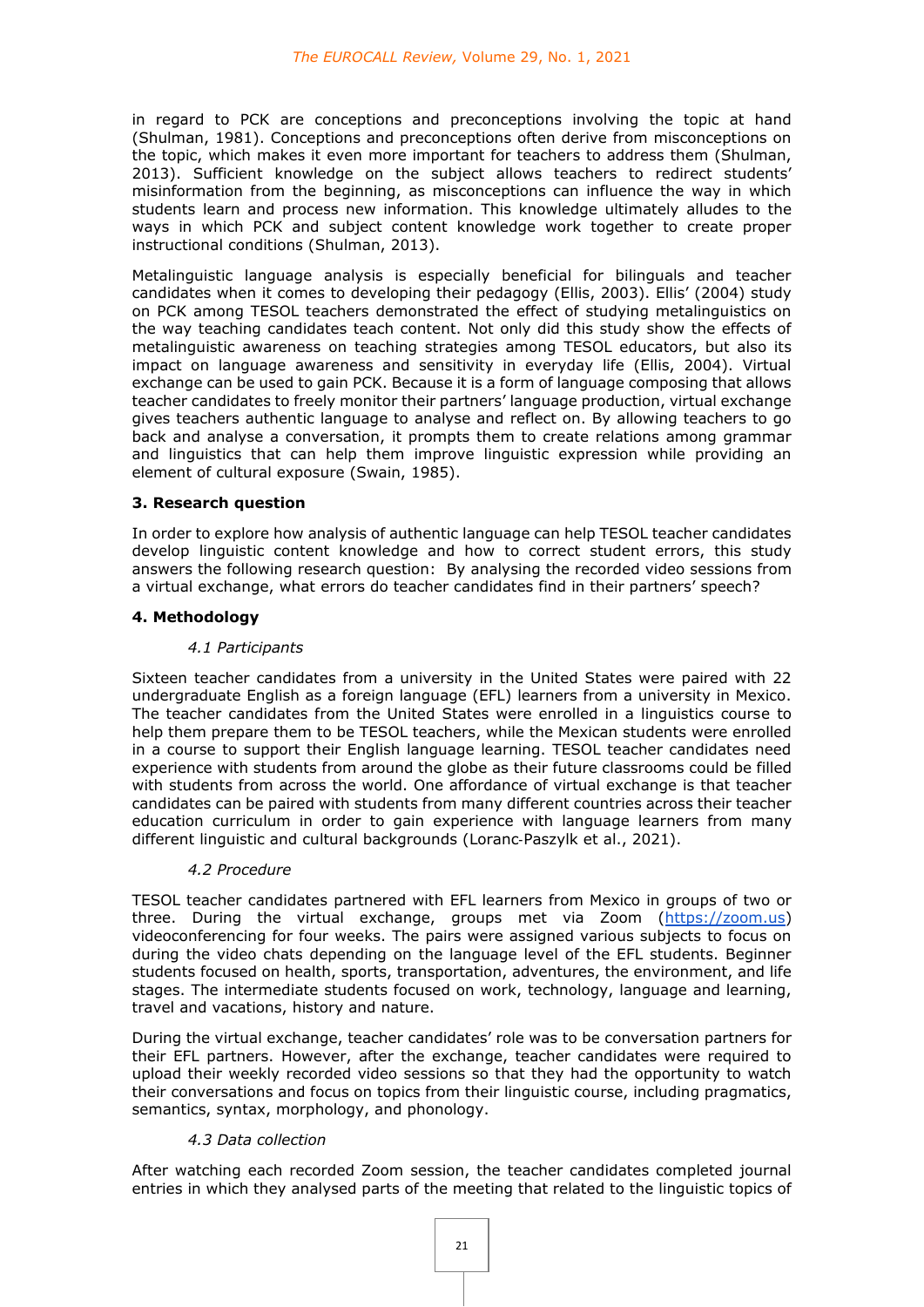in regard to PCK are conceptions and preconceptions involving the topic at hand (Shulman, 1981). Conceptions and preconceptions often derive from misconceptions on the topic, which makes it even more important for teachers to address them (Shulman, 2013). Sufficient knowledge on the subject allows teachers to redirect students' misinformation from the beginning, as misconceptions can influence the way in which students learn and process new information. This knowledge ultimately alludes to the ways in which PCK and subject content knowledge work together to create proper instructional conditions (Shulman, 2013).

Metalinguistic language analysis is especially beneficial for bilinguals and teacher candidates when it comes to developing their pedagogy (Ellis, 2003). Ellis' (2004) study on PCK among TESOL teachers demonstrated the effect of studying metalinguistics on the way teaching candidates teach content. Not only did this study show the effects of metalinguistic awareness on teaching strategies among TESOL educators, but also its impact on language awareness and sensitivity in everyday life (Ellis, 2004). Virtual exchange can be used to gain PCK. Because it is a form of language composing that allows teacher candidates to freely monitor their partners' language production, virtual exchange gives teachers authentic language to analyse and reflect on. By allowing teachers to go back and analyse a conversation, it prompts them to create relations among grammar and linguistics that can help them improve linguistic expression while providing an element of cultural exposure (Swain, 1985).

#### **3. Research question**

In order to explore how analysis of authentic language can help TESOL teacher candidates develop linguistic content knowledge and how to correct student errors, this study answers the following research question: By analysing the recorded video sessions from a virtual exchange, what errors do teacher candidates find in their partners' speech?

# **4. Methodology**

# *4.1 Participants*

Sixteen teacher candidates from a university in the United States were paired with 22 undergraduate English as a foreign language (EFL) learners from a university in Mexico. The teacher candidates from the United States were enrolled in a linguistics course to help them prepare them to be TESOL teachers, while the Mexican students were enrolled in a course to support their English language learning. TESOL teacher candidates need experience with students from around the globe as their future classrooms could be filled with students from across the world. One affordance of virtual exchange is that teacher candidates can be paired with students from many different countries across their teacher education curriculum in order to gain experience with language learners from many different linguistic and cultural backgrounds (Loranc‐Paszylk et al., 2021).

#### *4.2 Procedure*

TESOL teacher candidates partnered with EFL learners from Mexico in groups of two or three. During the virtual exchange, groups met via Zoom [\(https://zoom.us\)](https://zoom.us/) videoconferencing for four weeks. The pairs were assigned various subjects to focus on during the video chats depending on the language level of the EFL students. Beginner students focused on health, sports, transportation, adventures, the environment, and life stages. The intermediate students focused on work, technology, language and learning, travel and vacations, history and nature.

During the virtual exchange, teacher candidates' role was to be conversation partners for their EFL partners. However, after the exchange, teacher candidates were required to upload their weekly recorded video sessions so that they had the opportunity to watch their conversations and focus on topics from their linguistic course, including pragmatics, semantics, syntax, morphology, and phonology.

#### *4.3 Data collection*

After watching each recorded Zoom session, the teacher candidates completed journal entries in which they analysed parts of the meeting that related to the linguistic topics of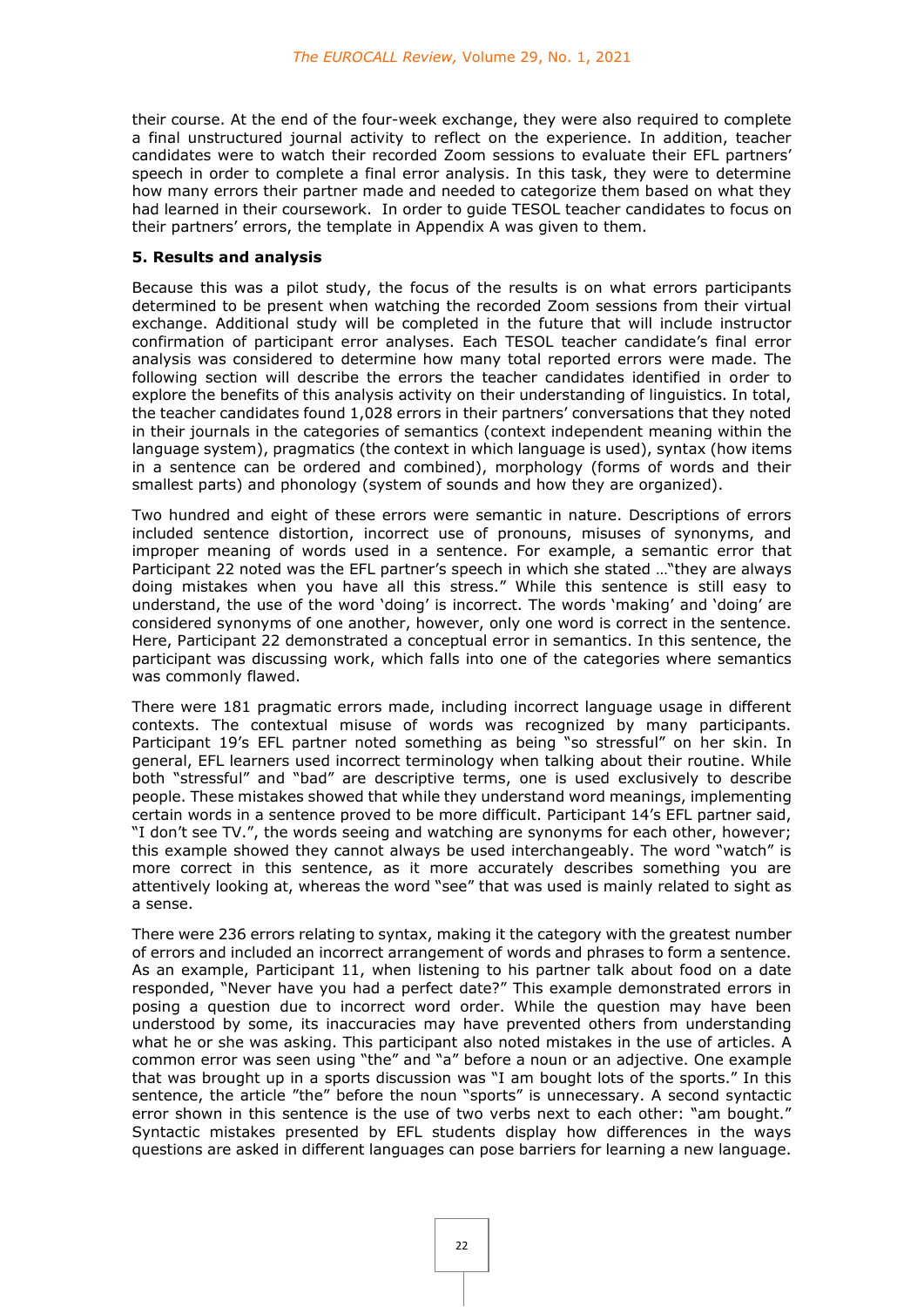their course. At the end of the four-week exchange, they were also required to complete a final unstructured journal activity to reflect on the experience. In addition, teacher candidates were to watch their recorded Zoom sessions to evaluate their EFL partners' speech in order to complete a final error analysis. In this task, they were to determine how many errors their partner made and needed to categorize them based on what they had learned in their coursework. In order to guide TESOL teacher candidates to focus on their partners' errors, the template in Appendix A was given to them.

#### **5. Results and analysis**

Because this was a pilot study, the focus of the results is on what errors participants determined to be present when watching the recorded Zoom sessions from their virtual exchange. Additional study will be completed in the future that will include instructor confirmation of participant error analyses. Each TESOL teacher candidate's final error analysis was considered to determine how many total reported errors were made. The following section will describe the errors the teacher candidates identified in order to explore the benefits of this analysis activity on their understanding of linguistics. In total, the teacher candidates found 1,028 errors in their partners' conversations that they noted in their journals in the categories of semantics (context independent meaning within the language system), pragmatics (the context in which language is used), syntax (how items in a sentence can be ordered and combined), morphology (forms of words and their smallest parts) and phonology (system of sounds and how they are organized).

Two hundred and eight of these errors were semantic in nature. Descriptions of errors included sentence distortion, incorrect use of pronouns, misuses of synonyms, and improper meaning of words used in a sentence. For example, a semantic error that Participant 22 noted was the EFL partner's speech in which she stated …"they are always doing mistakes when you have all this stress." While this sentence is still easy to understand, the use of the word 'doing' is incorrect. The words 'making' and 'doing' are considered synonyms of one another, however, only one word is correct in the sentence. Here, Participant 22 demonstrated a conceptual error in semantics. In this sentence, the participant was discussing work, which falls into one of the categories where semantics was commonly flawed.

There were 181 pragmatic errors made, including incorrect language usage in different contexts. The contextual misuse of words was recognized by many participants. Participant 19's EFL partner noted something as being "so stressful" on her skin. In general, EFL learners used incorrect terminology when talking about their routine. While both "stressful" and "bad" are descriptive terms, one is used exclusively to describe people. These mistakes showed that while they understand word meanings, implementing certain words in a sentence proved to be more difficult. Participant 14's EFL partner said, "I don't see TV.", the words seeing and watching are synonyms for each other, however; this example showed they cannot always be used interchangeably. The word "watch" is more correct in this sentence, as it more accurately describes something you are attentively looking at, whereas the word "see" that was used is mainly related to sight as a sense.

There were 236 errors relating to syntax, making it the category with the greatest number of errors and included an incorrect arrangement of words and phrases to form a sentence. As an example, Participant 11, when listening to his partner talk about food on a date responded, "Never have you had a perfect date?" This example demonstrated errors in posing a question due to incorrect word order. While the question may have been understood by some, its inaccuracies may have prevented others from understanding what he or she was asking. This participant also noted mistakes in the use of articles. A common error was seen using "the" and "a" before a noun or an adjective. One example that was brought up in a sports discussion was "I am bought lots of the sports." In this sentence, the article "the" before the noun "sports" is unnecessary. A second syntactic error shown in this sentence is the use of two verbs next to each other: "am bought." Syntactic mistakes presented by EFL students display how differences in the ways questions are asked in different languages can pose barriers for learning a new language.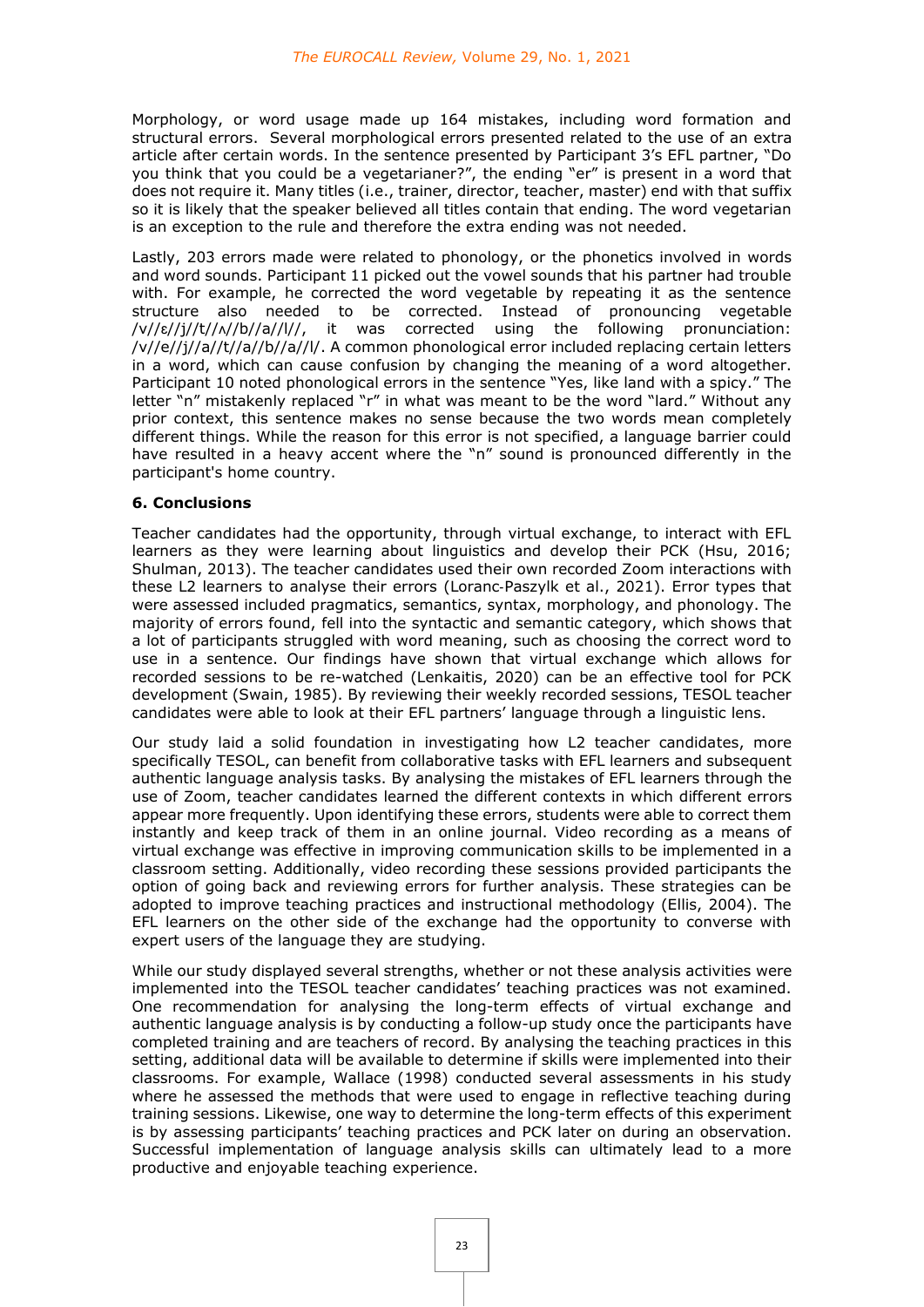Morphology, or word usage made up 164 mistakes, including word formation and structural errors. Several morphological errors presented related to the use of an extra article after certain words. In the sentence presented by Participant 3's EFL partner, "Do you think that you could be a vegetarianer?", the ending "er" is present in a word that does not require it. Many titles (i.e., trainer, director, teacher, master) end with that suffix so it is likely that the speaker believed all titles contain that ending. The word vegetarian is an exception to the rule and therefore the extra ending was not needed.

Lastly, 203 errors made were related to phonology, or the phonetics involved in words and word sounds. Participant 11 picked out the vowel sounds that his partner had trouble with. For example, he corrected the word vegetable by repeating it as the sentence structure also needed to be corrected. Instead of pronouncing vegetable /v//ɛ//j//t//ʌ//b//a//l//, it was corrected using the following pronunciation: /v//e//j//a//t//a//b//a//l/. A common phonological error included replacing certain letters in a word, which can cause confusion by changing the meaning of a word altogether. Participant 10 noted phonological errors in the sentence "Yes, like land with a spicy." The letter "n" mistakenly replaced "r" in what was meant to be the word "lard." Without any prior context, this sentence makes no sense because the two words mean completely different things. While the reason for this error is not specified, a language barrier could have resulted in a heavy accent where the "n" sound is pronounced differently in the participant's home country.

# **6. Conclusions**

Teacher candidates had the opportunity, through virtual exchange, to interact with EFL learners as they were learning about linguistics and develop their PCK (Hsu, 2016; Shulman, 2013). The teacher candidates used their own recorded Zoom interactions with these L2 learners to analyse their errors (Loranc‐Paszylk et al., 2021). Error types that were assessed included pragmatics, semantics, syntax, morphology, and phonology. The majority of errors found, fell into the syntactic and semantic category, which shows that a lot of participants struggled with word meaning, such as choosing the correct word to use in a sentence. Our findings have shown that virtual exchange which allows for recorded sessions to be re-watched (Lenkaitis, 2020) can be an effective tool for PCK development (Swain, 1985). By reviewing their weekly recorded sessions, TESOL teacher candidates were able to look at their EFL partners' language through a linguistic lens.

Our study laid a solid foundation in investigating how L2 teacher candidates, more specifically TESOL, can benefit from collaborative tasks with EFL learners and subsequent authentic language analysis tasks. By analysing the mistakes of EFL learners through the use of Zoom, teacher candidates learned the different contexts in which different errors appear more frequently. Upon identifying these errors, students were able to correct them instantly and keep track of them in an online journal. Video recording as a means of virtual exchange was effective in improving communication skills to be implemented in a classroom setting. Additionally, video recording these sessions provided participants the option of going back and reviewing errors for further analysis. These strategies can be adopted to improve teaching practices and instructional methodology (Ellis, 2004). The EFL learners on the other side of the exchange had the opportunity to converse with expert users of the language they are studying.

While our study displayed several strengths, whether or not these analysis activities were implemented into the TESOL teacher candidates' teaching practices was not examined. One recommendation for analysing the long-term effects of virtual exchange and authentic language analysis is by conducting a follow-up study once the participants have completed training and are teachers of record. By analysing the teaching practices in this setting, additional data will be available to determine if skills were implemented into their classrooms. For example, Wallace (1998) conducted several assessments in his study where he assessed the methods that were used to engage in reflective teaching during training sessions. Likewise, one way to determine the long-term effects of this experiment is by assessing participants' teaching practices and PCK later on during an observation. Successful implementation of language analysis skills can ultimately lead to a more productive and enjoyable teaching experience.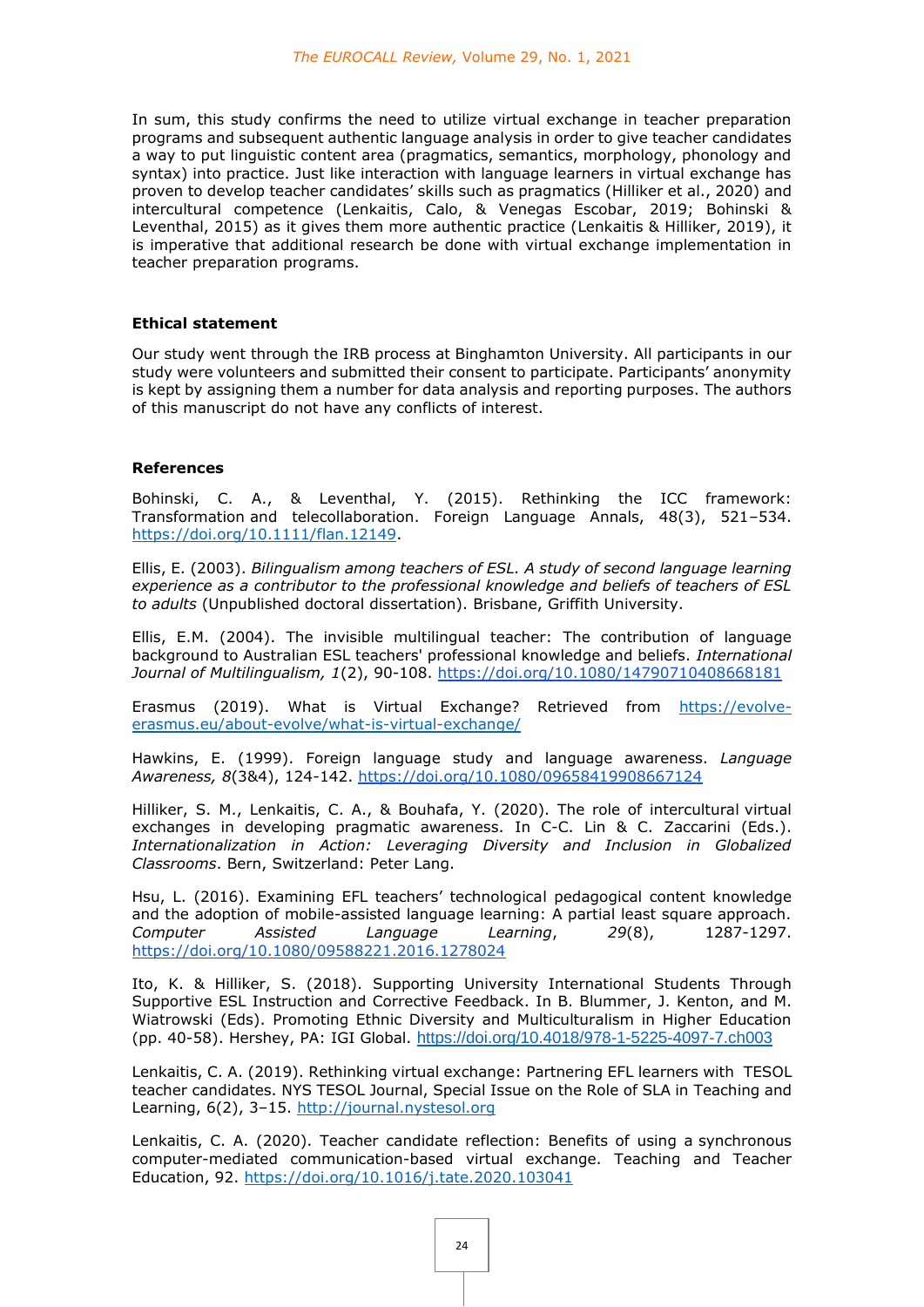In sum, this study confirms the need to utilize virtual exchange in teacher preparation programs and subsequent authentic language analysis in order to give teacher candidates a way to put linguistic content area (pragmatics, semantics, morphology, phonology and syntax) into practice. Just like interaction with language learners in virtual exchange has proven to develop teacher candidates' skills such as pragmatics (Hilliker et al., 2020) and intercultural competence (Lenkaitis, Calo, & Venegas Escobar, 2019; Bohinski & Leventhal, 2015) as it gives them more authentic practice (Lenkaitis & Hilliker, 2019), it is imperative that additional research be done with virtual exchange implementation in teacher preparation programs.

#### **Ethical statement**

Our study went through the IRB process at Binghamton University. All participants in our study were volunteers and submitted their consent to participate. Participants' anonymity is kept by assigning them a number for data analysis and reporting purposes. The authors of this manuscript do not have any conflicts of interest.

#### **References**

Bohinski, C. A., & Leventhal, Y. (2015). Rethinking the ICC framework: Transformation and telecollaboration. Foreign Language Annals, 48(3), 521–534. [https://doi.org/10.1111/flan.12149.](https://www.google.com/url?q=https://doi.org/10.1111/flan.12149&sa=D&source=editors&ust=1612818076055000&usg=AOvVaw2SMrta4pAkvWwyiE9SP-Qt)

Ellis, E. (2003). *Bilingualism among teachers of ESL. A study of second language learning experience as a contributor to the professional knowledge and beliefs of teachers of ESL to adults* (Unpublished doctoral dissertation). Brisbane, Griffith University.

Ellis, E.M. (2004). The invisible multilingual teacher: The contribution of language background to Australian ESL teachers' professional knowledge and beliefs. *International Journal of Multilingualism, 1*(2), 90-108.<https://doi.org/10.1080/14790710408668181>

Erasmus (2019). What is Virtual Exchange? Retrieved from [https://evolve](https://evolve-erasmus.eu/about-evolve/what-is-virtual-exchange/)[erasmus.eu/about-evolve/what-is-virtual-exchange/](https://evolve-erasmus.eu/about-evolve/what-is-virtual-exchange/)

Hawkins, E. (1999). Foreign language study and language awareness. *Language Awareness, 8*(3&4), 124-142.<https://doi.org/10.1080/09658419908667124>

Hilliker, S. M., Lenkaitis, C. A., & Bouhafa, Y. (2020). The role of intercultural virtual exchanges in developing pragmatic awareness. In C-C. Lin & C. Zaccarini (Eds.). *Internationalization in Action: Leveraging Diversity and Inclusion in Globalized Classrooms*. Bern, Switzerland: Peter Lang.

Hsu, L. (2016). Examining EFL teachers' technological pedagogical content knowledge and the adoption of mobile-assisted language learning: A partial least square approach. *Computer Assisted Language Learning*, *29*(8), 1287-1297. <https://doi.org/10.1080/09588221.2016.1278024>

Ito, K. & Hilliker, S. (2018). Supporting University International Students Through Supportive ESL Instruction and Corrective Feedback. In [B. Blummer,](https://www.igi-global.com/affiliate/barbara-blummer/307945/) [J. Kenton,](https://www.igi-global.com/affiliate/jeffrey-m-kenton/307946/) and [M.](https://www.igi-global.com/affiliate/michael-wiatrowski/329111/)  [Wiatrowski](https://www.igi-global.com/affiliate/michael-wiatrowski/329111/) (Eds). [Promoting Ethnic Diversity and Multiculturalism in Higher Education](https://www.igi-global.com/submission/books/?title=promoting%20ethnic%20diversity%20and%20multiculturalism%20in%20higher%20education) (pp. 40-58). Hershey, PA: IGI Global. <https://doi.org/10.4018/978-1-5225-4097-7.ch003>

Lenkaitis, C. A. (2019). Rethinking virtual exchange: Partnering EFL learners with TESOL teacher candidates. NYS TESOL Journal, Special Issue on the Role of SLA in Teaching and Learning, 6(2), 3-15. [http://journal.nystesol.org](https://www.google.com/url?q=http://journal.nystesol.org&sa=D&source=editors&ust=1612818076058000&usg=AOvVaw2LUs6DMvYuNTzT7NS79uFy)

Lenkaitis, C. A. (2020). Teacher candidate reflection: Benefits of using a synchronous computer-mediated communication-based virtual exchange. Teaching and Teacher Education, 92. [https://doi.org/10.1016/j.tate.2020.103041](https://www.google.com/url?q=https://doi.org/10.1016/j.tate.2020.103041&sa=D&source=editors&ust=1612818076061000&usg=AOvVaw1YN24wdIAtwwpCUiE3hd8l)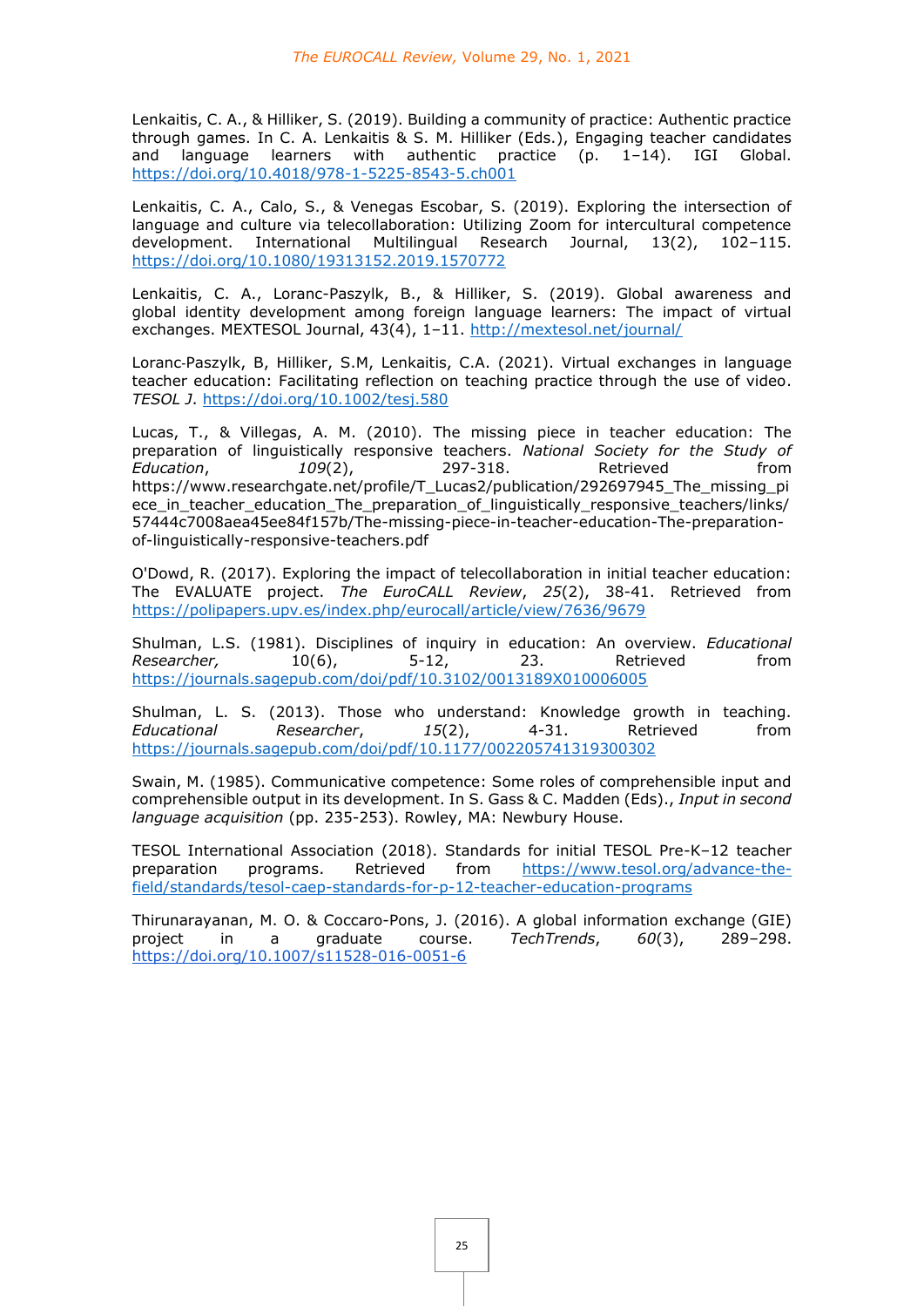Lenkaitis, C. A., & Hilliker, S. (2019). Building a community of practice: Authentic practice through games. In C. A. Lenkaitis & S. M. Hilliker (Eds.), Engaging teacher candidates and language learners with authentic practice (p. 1–14). IGI Global. [https://doi.org/10.4018/978-1-5225-8543-5.ch001](https://www.google.com/url?q=https://doi.org/10.4018/978-1-5225-8543-5.ch001&sa=D&source=editors&ust=1612818076040000&usg=AOvVaw12xe1UtuZ3JG0YinjYvgQP)

Lenkaitis, C. A., Calo, S., & Venegas Escobar, S. (2019). Exploring the intersection of language and culture via telecollaboration: Utilizing Zoom for intercultural competence development. International Multilingual Research Journal, 13(2), 102–115. [https://doi.org/10.1080/19313152.2019.1570772](https://www.google.com/url?q=https://doi.org/10.1080/19313152.2019.1570772&sa=D&source=editors&ust=1612818076055000&usg=AOvVaw2IuwVkjkEX2WH3QDBeqj3y)

Lenkaitis, C. A., Loranc-Paszylk, B., & Hilliker, S. (2019). Global awareness and global identity development among foreign language learners: The impact of virtual exchanges. MEXTESOL Journal, 43(4), 1-11. [http://mextesol.net/journal/](https://www.google.com/url?q=http://mextesol.net/journal/&sa=D&source=editors&ust=1612818076044000&usg=AOvVaw1tk-NzmiSHeenzmhO96-ju)

Loranc‐Paszylk, B, Hilliker, S.M, Lenkaitis, C.A. (2021). Virtual exchanges in language teacher education: Facilitating reflection on teaching practice through the use of video. *TESOL J*.<https://doi.org/10.1002/tesj.580>

Lucas, T., & Villegas, A. M. (2010). The missing piece in teacher education: The preparation of linguistically responsive teachers. *National Society for the Study of Education*, *109*(2), 297-318. Retrieved from https://www.researchgate.net/profile/T\_Lucas2/publication/292697945\_The\_missing\_pi ece in teacher education The preparation of linguistically responsive teachers/links/ 57444c7008aea45ee84f157b/The-missing-piece-in-teacher-education-The-preparationof-linguistically-responsive-teachers.pdf

O'Dowd, R. (2017). Exploring the impact of telecollaboration in initial teacher education: The EVALUATE project. *The EuroCALL Review*, *25*(2), 38-41. Retrieved from <https://polipapers.upv.es/index.php/eurocall/article/view/7636/9679>

Shulman, L.S. (1981). Disciplines of inquiry in education: An overview. *Educational Researcher,* 10(6), 5-12, 23. Retrieved from <https://journals.sagepub.com/doi/pdf/10.3102/0013189X010006005>

Shulman, L. S. (2013). Those who understand: Knowledge growth in teaching. *Educational Researcher*, *15*(2), 4-31. Retrieved from <https://journals.sagepub.com/doi/pdf/10.1177/002205741319300302>

Swain, M. (1985). Communicative competence: Some roles of comprehensible input and comprehensible output in its development. In S. Gass & C. Madden (Eds)., *Input in second language acquisition* (pp. 235-253). Rowley, MA: Newbury House.

TESOL International Association (2018). Standards for initial TESOL Pre-K–12 teacher preparation programs. Retrieved from [https://www.tesol.org/advance-the](https://www.tesol.org/advance-the-field/standards/tesol-caep-standards-for-p-12-teacher-education-programs)[field/standards/tesol-caep-standards-for-p-12-teacher-education-programs](https://www.tesol.org/advance-the-field/standards/tesol-caep-standards-for-p-12-teacher-education-programs)

Thirunarayanan, M. O. & Coccaro-Pons, J. (2016). A global information exchange (GIE) project in a graduate course. *TechTrends*, *60*(3), 289–298[.](https://doi.org/10.1007/s11528-016-0051-6) <https://doi.org/10.1007/s11528-016-0051-6>